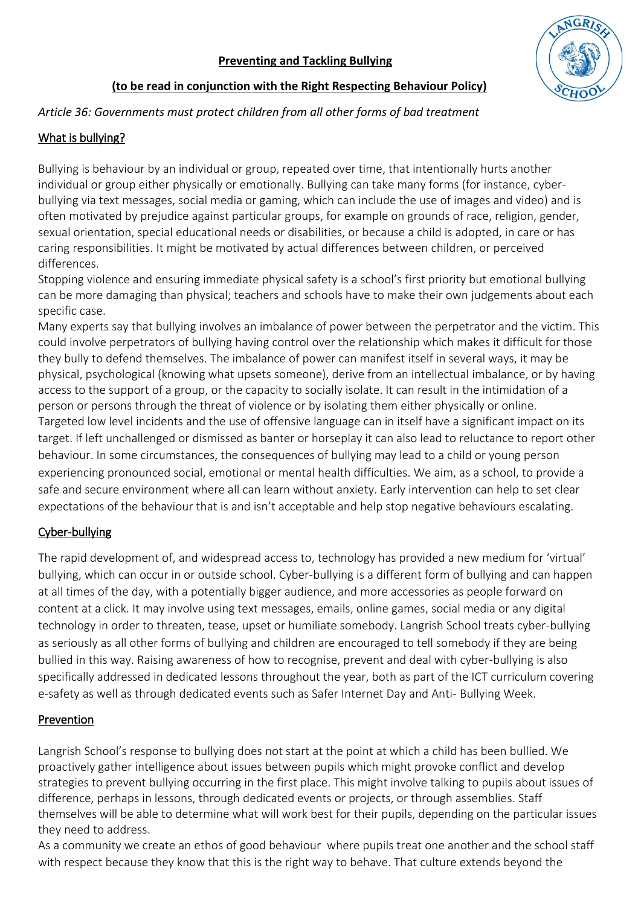

#### **(to be read in conjunction with the Right Respecting Behaviour Policy)**

#### *Article 36: Governments must protect children from all other forms of bad treatment*

#### What is bullying?

Bullying is behaviour by an individual or group, repeated over time, that intentionally hurts another individual or group either physically or emotionally. Bullying can take many forms (for instance, cyberbullying via text messages, social media or gaming, which can include the use of images and video) and is often motivated by prejudice against particular groups, for example on grounds of race, religion, gender, sexual orientation, special educational needs or disabilities, or because a child is adopted, in care or has caring responsibilities. It might be motivated by actual differences between children, or perceived differences.

Stopping violence and ensuring immediate physical safety is a school's first priority but emotional bullying can be more damaging than physical; teachers and schools have to make their own judgements about each specific case.

Many experts say that bullying involves an imbalance of power between the perpetrator and the victim. This could involve perpetrators of bullying having control over the relationship which makes it difficult for those they bully to defend themselves. The imbalance of power can manifest itself in several ways, it may be physical, psychological (knowing what upsets someone), derive from an intellectual imbalance, or by having access to the support of a group, or the capacity to socially isolate. It can result in the intimidation of a person or persons through the threat of violence or by isolating them either physically or online. Targeted low level incidents and the use of offensive language can in itself have a significant impact on its target. If left unchallenged or dismissed as banter or horseplay it can also lead to reluctance to report other behaviour. In some circumstances, the consequences of bullying may lead to a child or young person experiencing pronounced social, emotional or mental health difficulties. We aim, as a school, to provide a safe and secure environment where all can learn without anxiety. Early intervention can help to set clear expectations of the behaviour that is and isn't acceptable and help stop negative behaviours escalating.

### Cyber-bullying

The rapid development of, and widespread access to, technology has provided a new medium for 'virtual' bullying, which can occur in or outside school. Cyber-bullying is a different form of bullying and can happen at all times of the day, with a potentially bigger audience, and more accessories as people forward on content at a click. It may involve using text messages, emails, online games, social media or any digital technology in order to threaten, tease, upset or humiliate somebody. Langrish School treats cyber-bullying as seriously as all other forms of bullying and children are encouraged to tell somebody if they are being bullied in this way. Raising awareness of how to recognise, prevent and deal with cyber-bullying is also specifically addressed in dedicated lessons throughout the year, both as part of the ICT curriculum covering e-safety as well as through dedicated events such as Safer Internet Day and Anti- Bullying Week.

#### Prevention

Langrish School's response to bullying does not start at the point at which a child has been bullied. We proactively gather intelligence about issues between pupils which might provoke conflict and develop strategies to prevent bullying occurring in the first place. This might involve talking to pupils about issues of difference, perhaps in lessons, through dedicated events or projects, or through assemblies. Staff themselves will be able to determine what will work best for their pupils, depending on the particular issues they need to address.

As a community we create an ethos of good behaviour where pupils treat one another and the school staff with respect because they know that this is the right way to behave. That culture extends beyond the